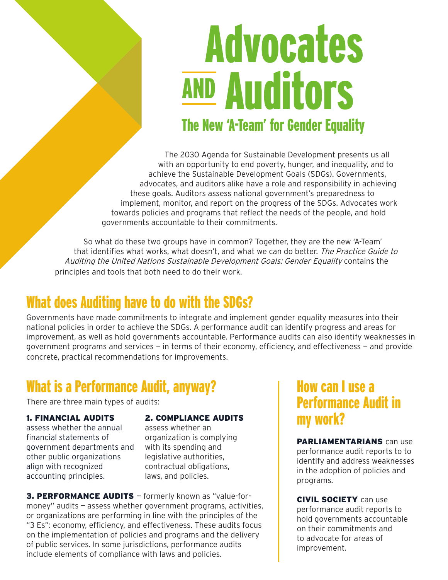# The New 'A-Team' for Gender Equality Advocates **AND Auditors**

The 2030 Agenda for Sustainable Development presents us all with an opportunity to end poverty, hunger, and inequality, and to achieve the Sustainable Development Goals (SDGs). Governments, advocates, and auditors alike have a role and responsibility in achieving these goals. Auditors assess national government's preparedness to implement, monitor, and report on the progress of the SDGs. Advocates work towards policies and programs that reflect the needs of the people, and hold governments accountable to their commitments.

So what do these two groups have in common? Together, they are the new 'A-Team' that identifies what works, what doesn't, and what we can do better. The Practice Guide to Auditing the United Nations Sustainable Development Goals: Gender Equality contains the principles and tools that both need to do their work.

## What does Auditing have to do with the SDGs?

Governments have made commitments to integrate and implement gender equality measures into their national policies in order to achieve the SDGs. A performance audit can identify progress and areas for improvement, as well as hold governments accountable. Performance audits can also identify weaknesses in government programs and services — in terms of their economy, efficiency, and effectiveness — and provide concrete, practical recommendations for improvements.

## What is a Performance Audit, anyway?

There are three main types of audits:

#### 1. FINANCIAL AUDITS

assess whether the annual financial statements of government departments and other public organizations align with recognized accounting principles.

#### 2. COMPLIANCE AUDITS

assess whether an organization is complying with its spending and legislative authorities, contractual obligations, laws, and policies.

3. PERFORMANCE AUDITS - formerly known as "value-formoney" audits — assess whether government programs, activities, or organizations are performing in line with the principles of the "3 Es": economy, efficiency, and effectiveness. These audits focus on the implementation of policies and programs and the delivery of public services. In some jurisdictions, performance audits include elements of compliance with laws and policies.

#### How can I use a Performance Audit in my work?

PARLIAMENTARIANS can use performance audit reports to to identify and address weaknesses in the adoption of policies and programs.

**CIVIL SOCIETY** can use performance audit reports to hold governments accountable on their commitments and to advocate for areas of improvement.